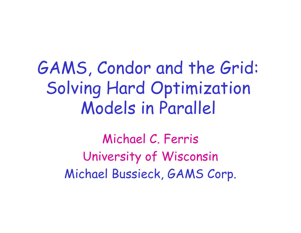### GAMS, Condor and the Grid: Solving Hard Optimization Models in Parallel

Michael C. Ferris University of Wisconsin Michael Bussieck, GAMS Corp.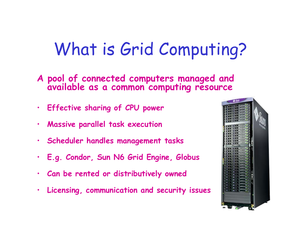## What is Grid Computing?

- **A pool of connected computers managed and available as a common computing resource**
- **Effective sharing of CPU power**
- •**Massive parallel task execution**
- •**Scheduler handles management tasks**
- $\bullet$ **E.g. Condor, Sun N6 Grid Engine, Globus**
- •**Can be rented or distributively owned**
- •**Licensing, communication and security issues**

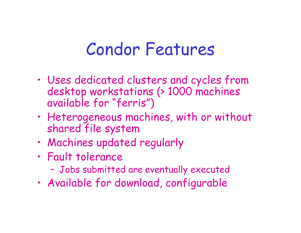### Condor Features

- • Uses dedicated clusters and cycles from desktop workstations (> 1000 machines available for "ferris")
- • Heterogeneous machines, with or without shared file system
- •Machines updated regularly
- • Fault tolerance
	- –Jobs submitted are eventually executed
- •Available for download, configurable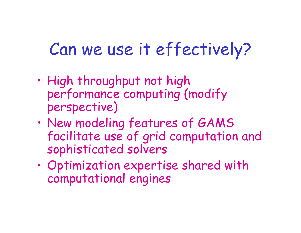### Can we use it effectively?

- • High throughput not high performance computing (modify perspective)
- • New modeling features of GAMS facilitate use of grid computation and sophisticated solvers
- • Optimization expertise shared with computational engines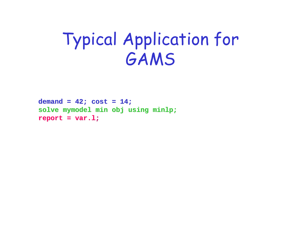### Typical Application for GAMS

```
demand = 42; cost = 14;solve mymodel mymodel min obj using minlp
;
report = report = var.l
;
```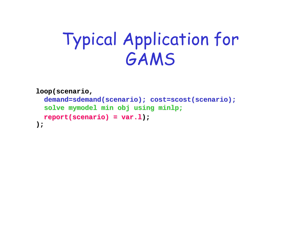## Typical Application for GAMS

```
loop(scenario loop(scenario
,
   {\tt demand=sdemand} ({\tt scenario} ; {\tt cost=scost} ({\tt scenario} ;
    solve mymodel mymodel min obj using minlp
;
   report(scenario report(scenario)=var.l
report(scenario report(scenario) = var.l););
```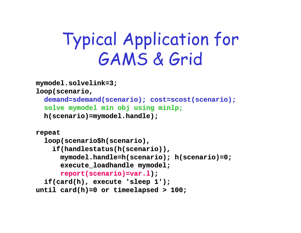## Typical Application for GAMS & Grid

```
mymodel.solvelink mymodel.solvelink=3;
loop(scenario loop(scenario
,
   {\tt demand=sdemand} ({\tt scenario} ; {\tt cost=scost} ({\tt scenario} ;
   solve mymodel mymodel min obj using minlp
;
   h(scenario h(scenario)=mymodel.handle mymodel.handle);
repeat
   loop(scenario$h(scenario),
      if(handlestatus(h(scenario if(handlestatus(h(scenario)),
```

```
mymodel.handle mymodel.handle
=h(scenario h(scenario); h(scenario h(scenario)=0; 
           execute_loadhandle execute_loadhandle mymodel mymodel
;
          report(scenario report(scenario)=var.l);
   if(card(h if(card(h), execute 'sleep 1'); ), execute 'sleep 1');
until card(h)=0 or timeelapsed timeelapsed > 100;
```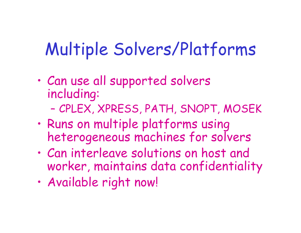# Multiple Solvers/Platforms

- • Can use all supported solvers including:
	- –CPLEX, XPRESS, PATH, SNOPT, MOSEK
- • Runs on multiple platforms using heterogeneous machines for solvers
- • Can interleave solutions on host and worker, maintains data confidentiality
- •Available right now!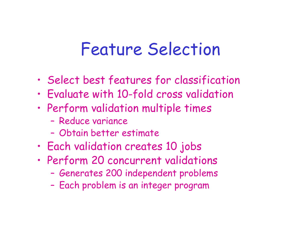#### Feature Selection

- •Select best features for classification
- •Evaluate with 10-fold cross validation
- • Perform validation multiple times
	- Reduce variance
	- Obtain better estimate
- •Each validation creates 10 jobs
- • Perform 20 concurrent validations
	- –Generates 200 independent problems
	- –Each problem is an integer program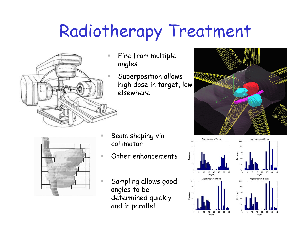# Radiotherapy Treatment



- Fire from multiple angles
	- Superposition allows high dose in target, low elsewhere





 Beam shaping via collimator

П

- $\mathcal{L}_{\mathcal{A}}$  Other enhancements
	- Sampling allows good angles to be determined quickly and in parallel



 $5<sup>2</sup>$ 10 15 20 25

Angles

15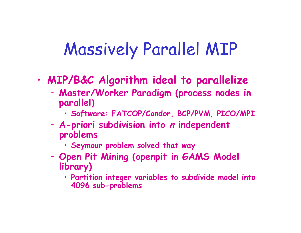## Massively Parallel MIP

- • **MIP/B&C Algorithm ideal to parallelize**
	- – **Master/Worker Paradigm (process nodes in parallel)** 
		- **Software: FATCOP/Condor, BCP/PVM, PICO/MPI**
	- – **A-priori subdivision into <sup>n</sup> independent problems**
		- **Seymour problem solved that way**
	- – **Open Pit Mining (openpit in GAMS Model library)**
		- **Partition integer variables to subdivide model into 4096 sub-problems**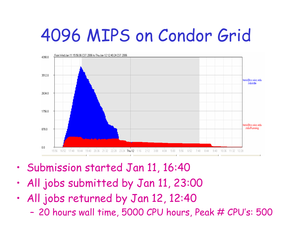### 4096 MIPS on Condor Grid



- •Submission started Jan 11, 16:40
- •All jobs submitted by Jan 11, 23:00
- • All jobs returned by Jan 12, 12:40
	- –20 hours wall time, 5000 CPU hours, Peak # CPU's: 500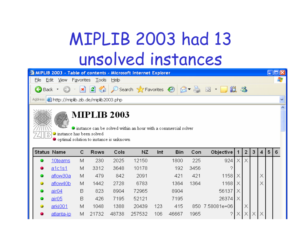## MIPLIB 2003 had 13 unsolved instances

| <b>2 MIPLIB 2003 - Table of contents - Microsoft Internet Explorer</b>                  |  |  |  |  |  |
|-----------------------------------------------------------------------------------------|--|--|--|--|--|
| File Edit View Favorites Tools Help                                                     |  |  |  |  |  |
| BBack • ⊙ • ■ 2 ☆ P Search ☆ Favorites ④ 2 • △ 回 • □ 説 %                                |  |  |  |  |  |
| Address <b>&amp; http://miplib.zib.de/miplib2003.php</b>                                |  |  |  |  |  |
|                                                                                         |  |  |  |  |  |
| <b>MIPLIB 2003</b><br>If instance can be solved within an hour with a commercial solver |  |  |  |  |  |
| $\bullet$ instance has been solved<br>$\bullet$ optimal solution to instance is unknown |  |  |  |  |  |

| <b>Status Name</b> |                   | с | Rows  | Cols  | NZ     | Int | Bin   | Con  | Objective   1    |    | $\overline{2}$ | 3 | 5 <sub>1</sub> | 6 |
|--------------------|-------------------|---|-------|-------|--------|-----|-------|------|------------------|----|----------------|---|----------------|---|
|                    | 10teams           | М | 230   | 2025  | 12150  |     | 1800  | 225  | 924              | Χı | Х              |   |                |   |
|                    | <u>a1c1s1</u>     | М | 3312  | 3648  | 10178  |     | 192   | 3456 | ◠                |    |                |   |                |   |
|                    | aflow30a          | М | 479   | 842   | 2091   |     | 421   | 421  | 1158   X         |    |                |   |                |   |
|                    | aflow40b          | М | 1442  | 2728  | 6783   |     | 1364  | 1364 | $1168$ $\times$  |    |                |   |                |   |
|                    | air04             | B | 823   | 8904  | 72965  |     | 8904  |      | 56137            |    |                |   |                |   |
|                    | air05             | В | 426   | 7195  | 52121  |     | 7195  |      | $26374$ $\times$ |    |                |   |                |   |
|                    | arki001           | м | 1048  | 1388  | 20439  | 123 | 415   |      | 850 7.58081e+06  |    | Х              |   |                |   |
|                    | <u>atlanta-ip</u> | М | 21732 | 48738 | 257532 | 106 | 46667 | 1965 | ◠                |    | Х              | X |                |   |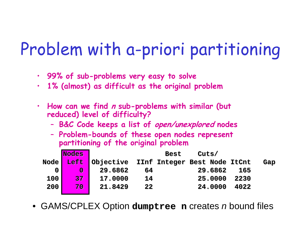## Problem with a-priori partitioning

- **99% of sub-problems very easy to solve**
- $\bullet$ **1% (almost) as difficult as the original problem**
- • **How can we find <sup>n</sup> sub-problems with similar (but reduced) level of difficulty?**
	- –**B&C Code keeps a list of open/unexplored nodes**
	- – **Problem-bounds of these open nodes represent partitioning of the original problem**

|     | <b>Nodes</b>    |                                                  |    | <b>Best</b> | Cuts/ |         |      |     |
|-----|-----------------|--------------------------------------------------|----|-------------|-------|---------|------|-----|
|     |                 | Node Left Objective IInf Integer Best Node ItCnt |    |             |       |         |      | Gap |
| 0   | $\bf{0}$        | 29.6862                                          | 64 |             |       | 29.6862 | 165  |     |
| 100 | 37 <sub>2</sub> | 17,0000                                          | 14 |             |       | 25,0000 | 2230 |     |
| 200 | 70              | 21,8429                                          | 22 |             |       | 24,0000 | 4022 |     |
|     |                 |                                                  |    |             |       |         |      |     |

• GAMS/CPLEX Option dumptree n creates *n* bound files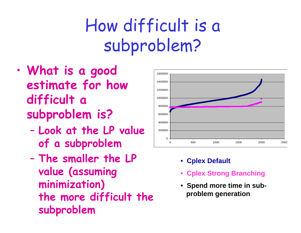## How difficult is a subproblem?

- • **What is a good estimate for how difficult a subproblem is?**
	- – **Look at the LP value of a subproblem**
	- – **The smaller the LP value (assuming minimization) the more difficult the subproblem**



- **Cplex Default**
- •**Cplex Strong Branching**
- **Spend more time in subproblem generation**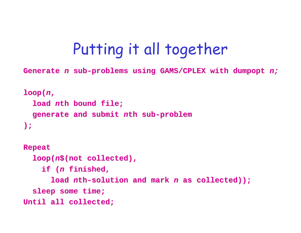#### Putting it all together

Generate *n* sub-problems using GAMS/CPLEX with dumpopt *n;* 

```
loop(
n
,
   load nth bound file; th bound file;
   generate and submit generate and submit 
nth sub
-problem problem
);
Repeat
   loop(
n$(not collected), collected),
      if (n finished, finished, 
          1oad nth-solution and mark n as collected));
   sleep some time; sleep some time;
Until all collected; Until all collected;
```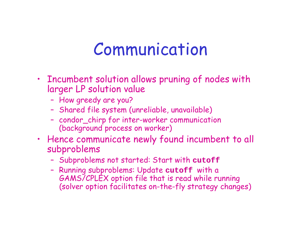#### Communication

- Incumbent solution allows pruning of nodes with larger LP solution value
	- –How greedy are you?
	- –Shared file system (unreliable, unavailable)
	- – condor\_chirp for inter-worker communication (background process on worker)
- Hence communicate newly found incumbent to all subproblems
	- –Subproblems not started: Start with **cutoff**
	- – Running subproblems: Update **cutoff** with a GAMS/CPLEX option file that is read while running (solver option facilitates on-the-fly strategy changes)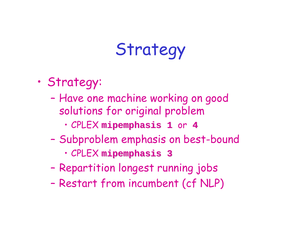## Strategy

- Strategy:
	- – Have one machine working on good solutions for original problem
		- CPLEX **mipemphasis mipemphasis <sup>1</sup>**or **<sup>4</sup>**
	- – Subproblem emphasis on best-bound
		- CPLEX **mipemphasis mipemphasis <sup>3</sup>**
	- –Repartition longest running jobs
	- –Restart from incumbent (cf NLP)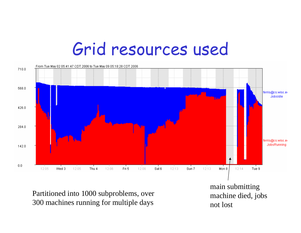### Grid resources used



Partitioned into 1000 subproblems, over 300 machines running for multiple days

main submitting machine died, jobs not lost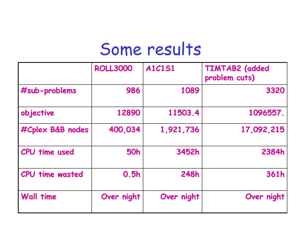#### Some results

|                        | <b>ROLL3000</b> | <b>A1C1S1</b> | <b>TIMTAB2</b> (added<br>problem cuts) |
|------------------------|-----------------|---------------|----------------------------------------|
| #sub-problems          | 986             | 1089          | 3320                                   |
| objective              | 12890           | 11503.4       | 1096557.                               |
| #Cplex B&B nodes       | 400,034         | 1,921,736     | 17,092,215                             |
| <b>CPU</b> time used   | <b>50h</b>      | 3452h         | 2384h                                  |
| <b>CPU time wasted</b> | 0.5h            | <b>248h</b>   | 361h                                   |
| <b>Wall time</b>       | Over night      | Over night    | Over night                             |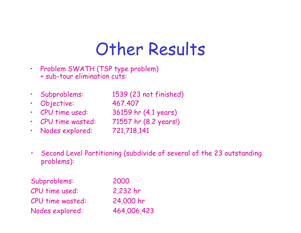### Other Results

- • Problem SWATH (TSP type problem) + sub-tour elimination cuts:
- •
	- Subproblems: 1539 (23 not finished)
- •Objective: 467.407
- CPU time used:
- •CPU time wasted: 71557 hr (8.2 years!)
- •Nodes explored: 721,718,141

36159 hr (4.1 years)

- 
- 
- • Second Level Partitioning (subdivide of several of the 23 outstanding problems):

| Subproblems:     | 2000        |
|------------------|-------------|
| CPU time used:   | 2,232 hr    |
| CPU time wasted: | 24,000 hr   |
| Nodes explored:  | 464,006,423 |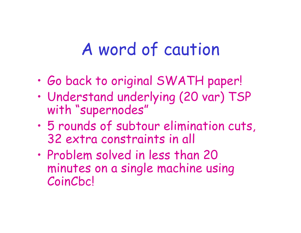### A word of caution

- •Go back to original SWATH paper!
- • Understand underlying (20 var) TSP with "supernodes"
- • 5 rounds of subtour elimination cuts, 32 extra constraints in all
- • Problem solved in less than 20 minutes on a single machine using **CoinChcl**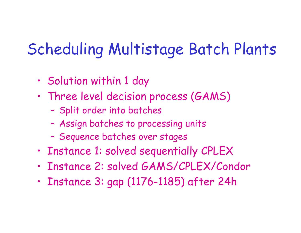#### Scheduling Multistage Batch Plants

- •Solution within 1 day
- • Three level decision process (GAMS)
	- –Split order into batches
	- –Assign batches to processing units
	- –Sequence batches over stages
- •Instance 1: solved sequentially CPLEX
- •Instance 2: solved GAMS/CPLEX/Condor
- •Instance 3: gap (1176-1185) after 24h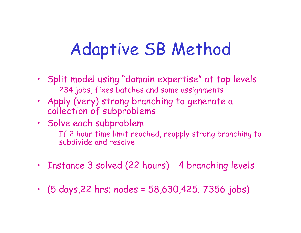## Adaptive SB Method

- Split model using "domain expertise" at top levels 234 jobs, fixes batches and some assignments
- Apply (very) strong branching to generate a collection of subproblems
- Solve each subproblem
	- – If 2 hour time limit reached, reapply strong branching to subdivide and resolve
- •Instance 3 solved (22 hours) - 4 branching levels
- (5 days,22 hrs; nodes = 58,630,425; 7356 jobs)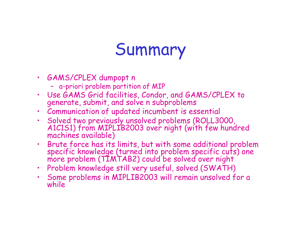### Summary

- GAMS/CPLEX dumpopt <sup>n</sup>
	- a-priori problem partition of MIP
- Use GAMS Grid facilities, Condor, and GAMS/CPLEX to generate, submit, and solve n subproblems
- •Communication of updated incumbent is essential
- •Solved two previously unsolved problems (ROLL3000, A1C1S1) from MIPLIB2003 over night (with few hundred machines available)
- •Brute force has its limits, but with some additional problem specific knowledge (turned into problem specific cuts) one more problem (TIMTAB2) could be solved over night
- •Problem knowledge still very useful, solved (SWATH)
- •Some problems in MIPLIB2003 will remain unsolved for a while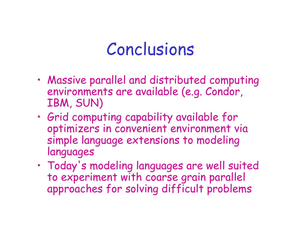#### Conclusions

- • Massive parallel and distributed computing environments are available (e.g. Condor, IBM, SUN)
- • Grid computing capability available for optimizers in convenient environment via simple language extensions to modeling languages
- • Today's modeling languages are well suited to experiment with coarse grain parallel approaches for solving difficult problems